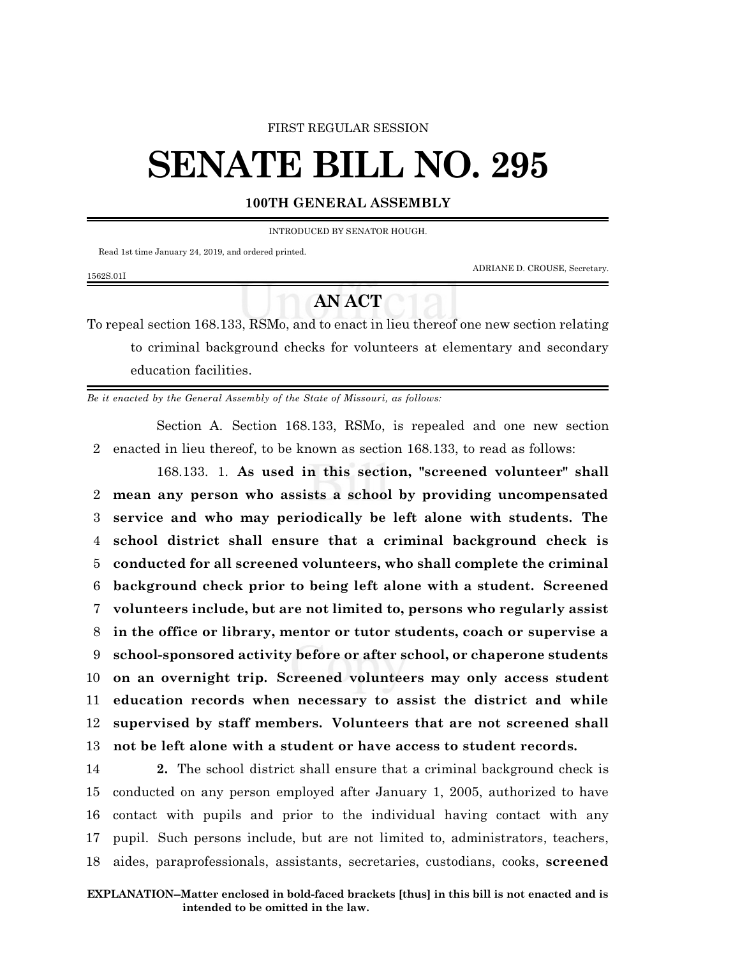#### FIRST REGULAR SESSION

# **SENATE BILL NO. 295**

### **100TH GENERAL ASSEMBLY**

INTRODUCED BY SENATOR HOUGH.

Read 1st time January 24, 2019, and ordered printed.

ADRIANE D. CROUSE, Secretary.

# 1562S.01I

# **AN ACT**

To repeal section 168.133, RSMo, and to enact in lieu thereof one new section relating to criminal background checks for volunteers at elementary and secondary education facilities.

*Be it enacted by the General Assembly of the State of Missouri, as follows:*

Section A. Section 168.133, RSMo, is repealed and one new section 2 enacted in lieu thereof, to be known as section 168.133, to read as follows:

168.133. 1. **As used in this section, "screened volunteer" shall mean any person who assists a school by providing uncompensated service and who may periodically be left alone with students. The school district shall ensure that a criminal background check is conducted for all screened volunteers, who shall complete the criminal background check prior to being left alone with a student. Screened volunteers include, but are not limited to, persons who regularly assist in the office or library, mentor or tutor students, coach or supervise a school-sponsored activity before or after school, or chaperone students on an overnight trip. Screened volunteers may only access student education records when necessary to assist the district and while supervised by staff members. Volunteers that are not screened shall not be left alone with a student or have access to student records.**

 **2.** The school district shall ensure that a criminal background check is conducted on any person employed after January 1, 2005, authorized to have contact with pupils and prior to the individual having contact with any pupil. Such persons include, but are not limited to, administrators, teachers, aides, paraprofessionals, assistants, secretaries, custodians, cooks, **screened**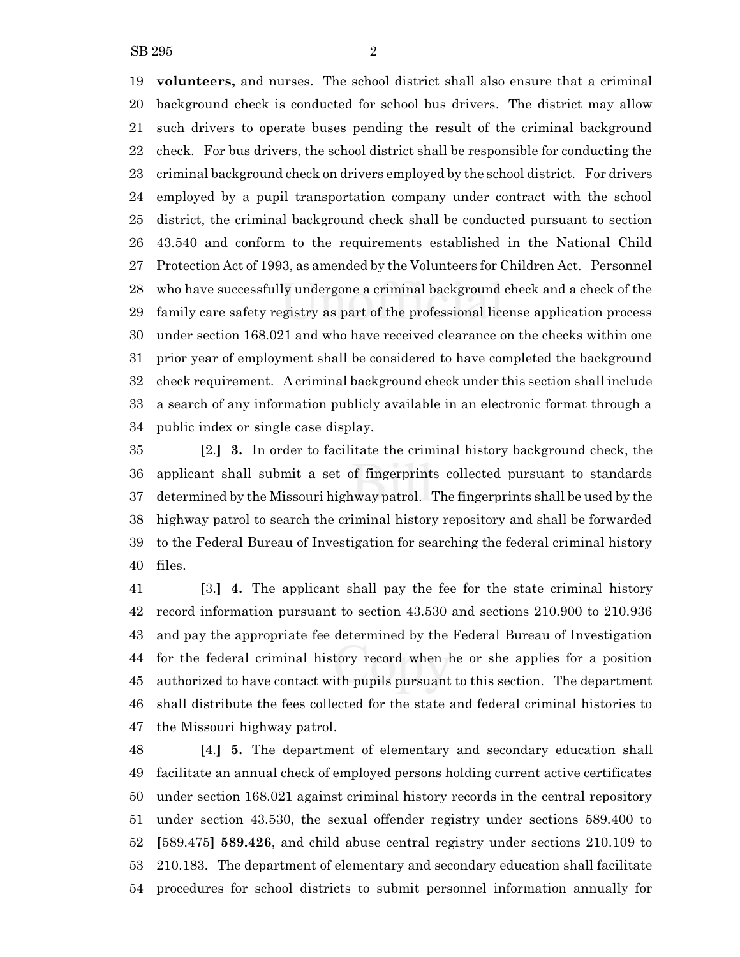**volunteers,** and nurses. The school district shall also ensure that a criminal background check is conducted for school bus drivers. The district may allow such drivers to operate buses pending the result of the criminal background check. For bus drivers, the school district shall be responsible for conducting the criminal background check on drivers employed by the school district. For drivers employed by a pupil transportation company under contract with the school district, the criminal background check shall be conducted pursuant to section 43.540 and conform to the requirements established in the National Child Protection Act of 1993, as amended by the Volunteers for Children Act. Personnel who have successfully undergone a criminal background check and a check of the family care safety registry as part of the professional license application process under section 168.021 and who have received clearance on the checks within one prior year of employment shall be considered to have completed the background check requirement. A criminal background check under this section shall include a search of any information publicly available in an electronic format through a public index or single case display.

 **[**2.**] 3.** In order to facilitate the criminal history background check, the applicant shall submit a set of fingerprints collected pursuant to standards determined by the Missouri highway patrol. The fingerprints shall be used by the highway patrol to search the criminal history repository and shall be forwarded to the Federal Bureau of Investigation for searching the federal criminal history files.

 **[**3.**] 4.** The applicant shall pay the fee for the state criminal history record information pursuant to section 43.530 and sections 210.900 to 210.936 and pay the appropriate fee determined by the Federal Bureau of Investigation for the federal criminal history record when he or she applies for a position authorized to have contact with pupils pursuant to this section. The department shall distribute the fees collected for the state and federal criminal histories to the Missouri highway patrol.

 **[**4.**] 5.** The department of elementary and secondary education shall facilitate an annual check of employed persons holding current active certificates under section 168.021 against criminal history records in the central repository under section 43.530, the sexual offender registry under sections 589.400 to **[**589.475**] 589.426**, and child abuse central registry under sections 210.109 to 210.183. The department of elementary and secondary education shall facilitate procedures for school districts to submit personnel information annually for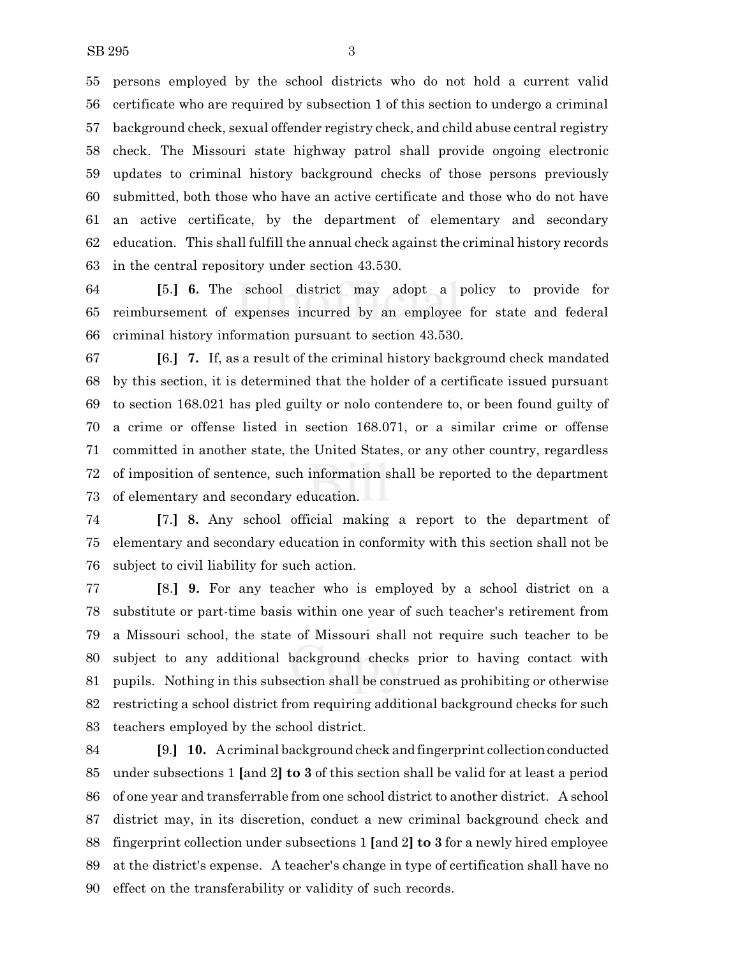persons employed by the school districts who do not hold a current valid certificate who are required by subsection 1 of this section to undergo a criminal background check, sexual offender registry check, and child abuse central registry check. The Missouri state highway patrol shall provide ongoing electronic updates to criminal history background checks of those persons previously submitted, both those who have an active certificate and those who do not have an active certificate, by the department of elementary and secondary education. This shall fulfill the annual check against the criminal history records in the central repository under section 43.530.

 **[**5.**] 6.** The school district may adopt a policy to provide for reimbursement of expenses incurred by an employee for state and federal criminal history information pursuant to section 43.530.

 **[**6.**] 7.** If, as a result of the criminal history background check mandated by this section, it is determined that the holder of a certificate issued pursuant to section 168.021 has pled guilty or nolo contendere to, or been found guilty of a crime or offense listed in section 168.071, or a similar crime or offense committed in another state, the United States, or any other country, regardless of imposition of sentence, such information shall be reported to the department of elementary and secondary education.

 **[**7.**] 8.** Any school official making a report to the department of elementary and secondary education in conformity with this section shall not be subject to civil liability for such action.

 **[**8.**] 9.** For any teacher who is employed by a school district on a substitute or part-time basis within one year of such teacher's retirement from a Missouri school, the state of Missouri shall not require such teacher to be subject to any additional background checks prior to having contact with pupils. Nothing in this subsection shall be construed as prohibiting or otherwise restricting a school district from requiring additional background checks for such teachers employed by the school district.

 **[**9.**] 10.** A criminal background check and fingerprint collection conducted under subsections 1 **[**and 2**] to 3** of this section shall be valid for at least a period of one year and transferrable from one school district to another district. A school district may, in its discretion, conduct a new criminal background check and fingerprint collection under subsections 1 **[**and 2**] to 3** for a newly hired employee at the district's expense. A teacher's change in type of certification shall have no effect on the transferability or validity of such records.